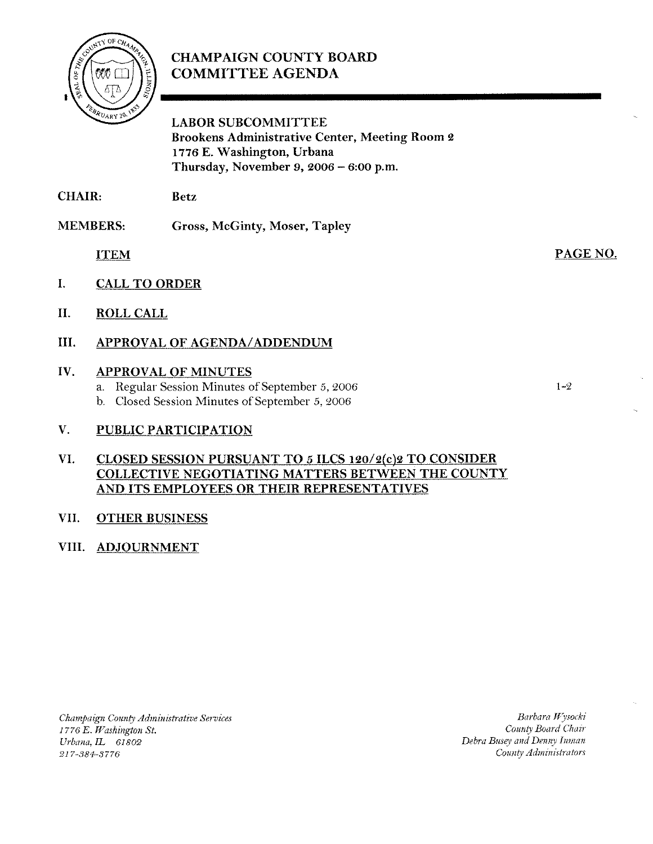

# CHAMPAIGN COUNTY BOARD **COMMITTEE AGENDA**

LABOR SUBCOMMITTEE Brookens Administrative Center, Meeting Room **2 1776** E. Washington, Urbana Thursday, November **9,2006** - **6:00 p.m.** 

CHAIR: Betz

MEMBERS: Gross, McGinty, Moser, Tapley

**ITEM** 

- I. CALL TO ORDER
- 11. ROLL CALL
- 111. APPROVAL OF AGENDA/ADDENDUM

# IV. APPROVAL OF MINUTES

- a. Regular Session Minutes of September 5, 2006
- b. Closed Session Minutes of September 5, 2006

# V. PUBLIC PARTICIPATION

# VI. CLOSED SESSION PURSUANT TO 5 ILCS 120/2(c)2 TO CONSIDER COLLECTIVE NEGOTIATING MATTERS BETWEEN THE COUNTY AND ITS EMPLOYEES OR THEIR REPRESENTATIVES

## VII. OTHER BUSINESS

# VIII. ADJOURNMENT

*Champaign County Administrative Services I776 E. Washington St. Urbana*, *IL* 61802 217-384-3776

 $Barbara$  *Wysocki CoiuiQ Board Chuir*  Debra Busey and Denny Inman *Coa~ib Ad?niiii.rtrutor.s* 

 $1 - 2$ 

PAGE NO.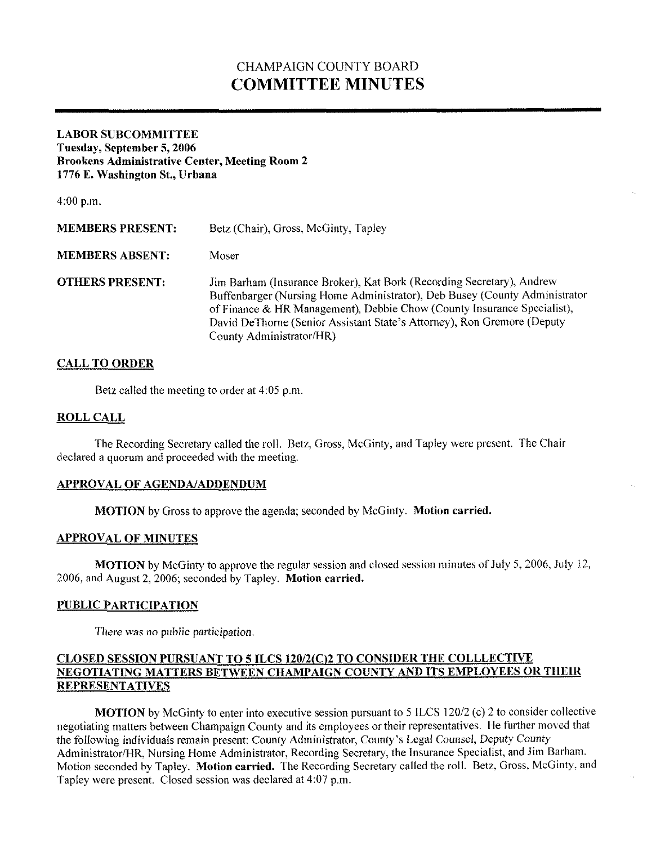# CHAMPAIGN COUNTY BOARD **COMMITTEE MINUTES**

#### **LABOR SUBCOMMITTEE Tuesday, September 5,2006 Brookens Administrative Center, Meeting Room 2 1776 E. Washington St., Urbana**

 $4:00$  p.m.

| <b>MEMBERS PRESENT:</b> | Betz (Chair), Gross, McGinty, Tapley                                                                                                                                                                                                                                                                                                  |
|-------------------------|---------------------------------------------------------------------------------------------------------------------------------------------------------------------------------------------------------------------------------------------------------------------------------------------------------------------------------------|
| <b>MEMBERS ABSENT:</b>  | Moser                                                                                                                                                                                                                                                                                                                                 |
| <b>OTHERS PRESENT:</b>  | Jim Barham (Insurance Broker), Kat Bork (Recording Secretary), Andrew<br>Buffenbarger (Nursing Home Administrator), Deb Busey (County Administrator<br>of Finance & HR Management), Debbie Chow (County Insurance Specialist),<br>David DeThorne (Senior Assistant State's Attorney), Ron Gremore (Deputy<br>County Administrator/HR) |

### **CALL TO ORDER**

Betz called the meeting to order at 4:05 p.m

#### **ROLL CALL**

The Recording Secretary called the roll. Betz, Gross, McGinty, and Tapley were present. The Chair declared a quorum and proceeded with the meeting.

#### **APPROVAL OF AGENDNADDENDUM**

**MOTION** by Gross to approve the agenda; seconded by McGinty. **Motion carried.** 

#### **APPROVAL OF MINUTES**

**MOTION** by McGinty to approve the regular session and closed session minutes of July 5, 2006, July 12, 2006, and August 2.2006; seconded by Tapley. **Motion carried.** 

#### **PUBLIC PARTICIPATION**

There was no public participation.

### **CLOSED SESSION PURSUANT TO 5 ILCS 120/2(C)2 TO CONSIDER THE COLLLECTIVE NEGOTIATING MATTERS BETWEEN CHAMPAIGN COUNTY AND ITS EMPLOYEES OR THEIR REPRESENTATIVES**

**MOTION** by McGinty to enter into executive session pursuant to 5 ILCS 120/2 (c) 2 to consider collective negotiating matters between Champaign County and its employees or their representatives. He further moved that the following individuals remain present: County Administrator, County's Legal Counsel, Deputy County Administrator/HR, Nursing Home Administrator, Recording Secretary, the Insurance Specialist, and Jim Barham. Motion seconded by Tapiey. **Motion carried.** The Recording Secretary called the roll. Betz, Gross, McGinty, and Tapley were present. Closed session was declared at 4:07 p.m.